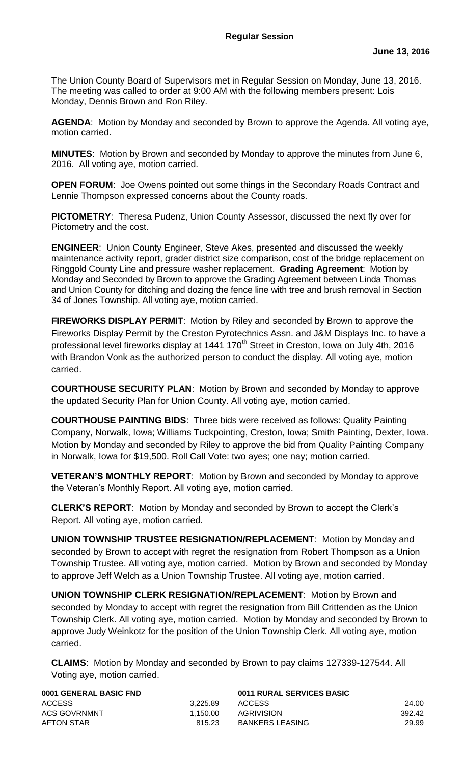The Union County Board of Supervisors met in Regular Session on Monday, June 13, 2016. The meeting was called to order at 9:00 AM with the following members present: Lois Monday, Dennis Brown and Ron Riley.

**AGENDA**: Motion by Monday and seconded by Brown to approve the Agenda. All voting aye, motion carried.

**MINUTES**: Motion by Brown and seconded by Monday to approve the minutes from June 6, 2016. All voting aye, motion carried.

**OPEN FORUM:** Joe Owens pointed out some things in the Secondary Roads Contract and Lennie Thompson expressed concerns about the County roads.

**PICTOMETRY**: Theresa Pudenz, Union County Assessor, discussed the next fly over for Pictometry and the cost.

**ENGINEER**: Union County Engineer, Steve Akes, presented and discussed the weekly maintenance activity report, grader district size comparison, cost of the bridge replacement on Ringgold County Line and pressure washer replacement. **Grading Agreement**: Motion by Monday and Seconded by Brown to approve the Grading Agreement between Linda Thomas and Union County for ditching and dozing the fence line with tree and brush removal in Section 34 of Jones Township. All voting aye, motion carried.

**FIREWORKS DISPLAY PERMIT**: Motion by Riley and seconded by Brown to approve the Fireworks Display Permit by the Creston Pyrotechnics Assn. and J&M Displays Inc. to have a professional level fireworks display at 1441 170<sup>th</sup> Street in Creston, Iowa on July 4th, 2016 with Brandon Vonk as the authorized person to conduct the display. All voting aye, motion carried.

**COURTHOUSE SECURITY PLAN**: Motion by Brown and seconded by Monday to approve the updated Security Plan for Union County. All voting aye, motion carried.

**COURTHOUSE PAINTING BIDS**: Three bids were received as follows: Quality Painting Company, Norwalk, Iowa; Williams Tuckpointing, Creston, Iowa; Smith Painting, Dexter, Iowa. Motion by Monday and seconded by Riley to approve the bid from Quality Painting Company in Norwalk, Iowa for \$19,500. Roll Call Vote: two ayes; one nay; motion carried.

**VETERAN'S MONTHLY REPORT**: Motion by Brown and seconded by Monday to approve the Veteran's Monthly Report. All voting aye, motion carried.

**CLERK'S REPORT**: Motion by Monday and seconded by Brown to accept the Clerk's Report. All voting aye, motion carried.

**UNION TOWNSHIP TRUSTEE RESIGNATION/REPLACEMENT**: Motion by Monday and seconded by Brown to accept with regret the resignation from Robert Thompson as a Union Township Trustee. All voting aye, motion carried. Motion by Brown and seconded by Monday to approve Jeff Welch as a Union Township Trustee. All voting aye, motion carried.

**UNION TOWNSHIP CLERK RESIGNATION/REPLACEMENT**: Motion by Brown and seconded by Monday to accept with regret the resignation from Bill Crittenden as the Union Township Clerk. All voting aye, motion carried. Motion by Monday and seconded by Brown to approve Judy Weinkotz for the position of the Union Township Clerk. All voting aye, motion carried.

**CLAIMS**: Motion by Monday and seconded by Brown to pay claims 127339-127544. All Voting aye, motion carried.

| 0001 GENERAL BASIC FND          | 0011 RURAL SERVICES BASIC |        |
|---------------------------------|---------------------------|--------|
| <b>ACCESS</b><br>3.225.89       | <b>ACCESS</b>             | 24.00  |
| <b>ACS GOVRNMNT</b><br>1.150.00 | AGRIVISION                | 392.42 |
| AFTON STAR<br>815.23            | <b>BANKERS LEASING</b>    | 29.99  |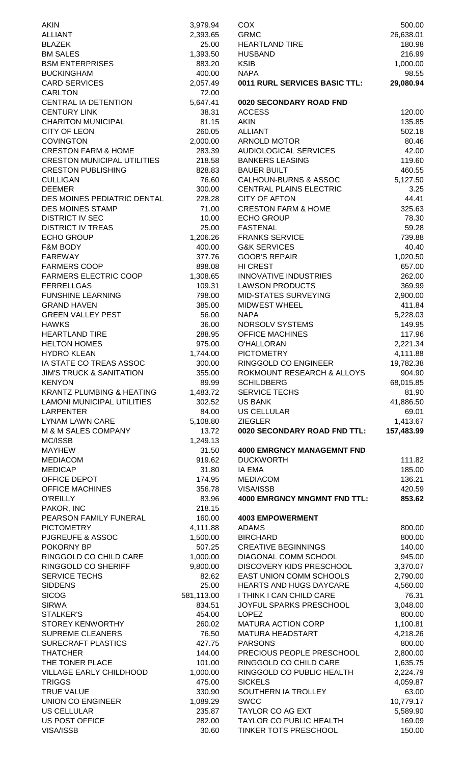| <b>AKIN</b>                          | 3,979.94   | <b>COX</b>                           | 500.00     |
|--------------------------------------|------------|--------------------------------------|------------|
| <b>ALLIANT</b>                       | 2,393.65   | <b>GRMC</b>                          | 26,638.01  |
| <b>BLAZEK</b>                        | 25.00      | <b>HEARTLAND TIRE</b>                | 180.98     |
| <b>BM SALES</b>                      | 1,393.50   | <b>HUSBAND</b>                       | 216.99     |
| <b>BSM ENTERPRISES</b>               | 883.20     | <b>KSIB</b>                          | 1,000.00   |
|                                      |            |                                      |            |
| <b>BUCKINGHAM</b>                    | 400.00     | <b>NAPA</b>                          | 98.55      |
| <b>CARD SERVICES</b>                 | 2,057.49   | <b>0011 RURL SERVICES BASIC TTL:</b> | 29,080.94  |
| <b>CARLTON</b>                       | 72.00      |                                      |            |
| CENTRAL IA DETENTION                 | 5,647.41   | 0020 SECONDARY ROAD FND              |            |
| <b>CENTURY LINK</b>                  | 38.31      | <b>ACCESS</b>                        | 120.00     |
| <b>CHARITON MUNICIPAL</b>            | 81.15      | <b>AKIN</b>                          | 135.85     |
| <b>CITY OF LEON</b>                  | 260.05     | <b>ALLIANT</b>                       | 502.18     |
|                                      |            |                                      |            |
| <b>COVINGTON</b>                     | 2,000.00   | ARNOLD MOTOR                         | 80.46      |
| <b>CRESTON FARM &amp; HOME</b>       | 283.39     | <b>AUDIOLOGICAL SERVICES</b>         | 42.00      |
| <b>CRESTON MUNICIPAL UTILITIES</b>   | 218.58     | <b>BANKERS LEASING</b>               | 119.60     |
| <b>CRESTON PUBLISHING</b>            | 828.83     | <b>BAUER BUILT</b>                   | 460.55     |
| <b>CULLIGAN</b>                      | 76.60      | <b>CALHOUN-BURNS &amp; ASSOC</b>     | 5,127.50   |
| <b>DEEMER</b>                        | 300.00     | CENTRAL PLAINS ELECTRIC              | 3.25       |
| DES MOINES PEDIATRIC DENTAL          | 228.28     | <b>CITY OF AFTON</b>                 | 44.41      |
| <b>DES MOINES STAMP</b>              |            | <b>CRESTON FARM &amp; HOME</b>       |            |
|                                      | 71.00      |                                      | 325.63     |
| <b>DISTRICT IV SEC</b>               | 10.00      | <b>ECHO GROUP</b>                    | 78.30      |
| <b>DISTRICT IV TREAS</b>             | 25.00      | <b>FASTENAL</b>                      | 59.28      |
| <b>ECHO GROUP</b>                    | 1,206.26   | <b>FRANKS SERVICE</b>                | 739.88     |
| F&M BODY                             | 400.00     | <b>G&amp;K SERVICES</b>              | 40.40      |
| <b>FAREWAY</b>                       | 377.76     | <b>GOOB'S REPAIR</b>                 | 1,020.50   |
| <b>FARMERS COOP</b>                  | 898.08     | HI CREST                             | 657.00     |
| <b>FARMERS ELECTRIC COOP</b>         | 1,308.65   | <b>INNOVATIVE INDUSTRIES</b>         | 262.00     |
|                                      |            |                                      |            |
| <b>FERRELLGAS</b>                    | 109.31     | <b>LAWSON PRODUCTS</b>               | 369.99     |
| <b>FUNSHINE LEARNING</b>             | 798.00     | <b>MID-STATES SURVEYING</b>          | 2,900.00   |
| <b>GRAND HAVEN</b>                   | 385.00     | MIDWEST WHEEL                        | 411.84     |
| <b>GREEN VALLEY PEST</b>             | 56.00      | <b>NAPA</b>                          | 5,228.03   |
| <b>HAWKS</b>                         | 36.00      | NORSOLV SYSTEMS                      | 149.95     |
| <b>HEARTLAND TIRE</b>                | 288.95     | <b>OFFICE MACHINES</b>               | 117.96     |
| <b>HELTON HOMES</b>                  | 975.00     | <b>O'HALLORAN</b>                    | 2,221.34   |
|                                      |            |                                      |            |
| <b>HYDRO KLEAN</b>                   | 1,744.00   | <b>PICTOMETRY</b>                    | 4,111.88   |
| IA STATE CO TREAS ASSOC              | 300.00     | RINGGOLD CO ENGINEER                 | 19,782.38  |
| <b>JIM'S TRUCK &amp; SANITATION</b>  | 355.00     | ROKMOUNT RESEARCH & ALLOYS           | 904.90     |
| <b>KENYON</b>                        | 89.99      | <b>SCHILDBERG</b>                    | 68,015.85  |
| <b>KRANTZ PLUMBING &amp; HEATING</b> | 1,483.72   | <b>SERVICE TECHS</b>                 | 81.90      |
| <b>LAMONI MUNICIPAL UTILITIES</b>    | 302.52     | <b>US BANK</b>                       | 41,886.50  |
| <b>LARPENTER</b>                     | 84.00      | <b>US CELLULAR</b>                   | 69.01      |
| <b>LYNAM LAWN CARE</b>               |            | <b>ZIEGLER</b>                       |            |
|                                      | 5,108.80   |                                      | 1,413.67   |
| M & M SALES COMPANY                  | 13.72      | 0020 SECONDARY ROAD FND TTL:         | 157,483.99 |
| MC/ISSB                              | 1,249.13   |                                      |            |
| <b>MAYHEW</b>                        | 31.50      | <b>4000 EMRGNCY MANAGEMNT FND</b>    |            |
| <b>MEDIACOM</b>                      | 919.62     | <b>DUCKWORTH</b>                     | 111.82     |
| <b>MEDICAP</b>                       | 31.80      | <b>IA EMA</b>                        | 185.00     |
| OFFICE DEPOT                         | 174.95     | <b>MEDIACOM</b>                      | 136.21     |
|                                      |            | VISA/ISSB                            |            |
| <b>OFFICE MACHINES</b>               | 356.78     |                                      | 420.59     |
| <b>O'REILLY</b>                      | 83.96      | <b>4000 EMRGNCY MNGMNT FND TTL:</b>  | 853.62     |
| PAKOR, INC                           | 218.15     |                                      |            |
| PEARSON FAMILY FUNERAL               | 160.00     | <b>4003 EMPOWERMENT</b>              |            |
| <b>PICTOMETRY</b>                    | 4,111.88   | <b>ADAMS</b>                         | 800.00     |
| <b>PJGREUFE &amp; ASSOC</b>          | 1,500.00   | <b>BIRCHARD</b>                      | 800.00     |
| POKORNY BP                           | 507.25     | <b>CREATIVE BEGINNINGS</b>           | 140.00     |
| RINGGOLD CO CHILD CARE               | 1,000.00   | DIAGONAL COMM SCHOOL                 | 945.00     |
|                                      |            |                                      |            |
| RINGGOLD CO SHERIFF                  | 9,800.00   | DISCOVERY KIDS PRESCHOOL             | 3,370.07   |
| <b>SERVICE TECHS</b>                 | 82.62      | EAST UNION COMM SCHOOLS              | 2,790.00   |
| <b>SIDDENS</b>                       | 25.00      | <b>HEARTS AND HUGS DAYCARE</b>       | 4,560.00   |
| <b>SICOG</b>                         | 581,113.00 | I THINK I CAN CHILD CARE             | 76.31      |
| <b>SIRWA</b>                         | 834.51     | JOYFUL SPARKS PRESCHOOL              | 3,048.00   |
| <b>STALKER'S</b>                     | 454.00     | <b>LOPEZ</b>                         | 800.00     |
| <b>STOREY KENWORTHY</b>              | 260.02     | MATURA ACTION CORP                   | 1,100.81   |
| <b>SUPREME CLEANERS</b>              | 76.50      | <b>MATURA HEADSTART</b>              | 4,218.26   |
|                                      |            |                                      |            |
| SURECRAFT PLASTICS                   | 427.75     | <b>PARSONS</b>                       | 800.00     |
| <b>THATCHER</b>                      | 144.00     | PRECIOUS PEOPLE PRESCHOOL            | 2,800.00   |
| THE TONER PLACE                      | 101.00     | RINGGOLD CO CHILD CARE               | 1,635.75   |
| <b>VILLAGE EARLY CHILDHOOD</b>       | 1,000.00   | RINGGOLD CO PUBLIC HEALTH            | 2,224.79   |
| <b>TRIGGS</b>                        | 475.00     | <b>SICKELS</b>                       | 4,059.87   |
| <b>TRUE VALUE</b>                    | 330.90     | SOUTHERN IA TROLLEY                  | 63.00      |
| UNION CO ENGINEER                    | 1,089.29   | <b>SWCC</b>                          |            |
|                                      |            |                                      | 10,779.17  |
| <b>US CELLULAR</b>                   | 235.87     | <b>TAYLOR CO AG EXT</b>              | 5,589.90   |
| US POST OFFICE                       | 282.00     | <b>TAYLOR CO PUBLIC HEALTH</b>       | 169.09     |
| VISA/ISSB                            | 30.60      | TINKER TOTS PRESCHOOL                | 150.00     |